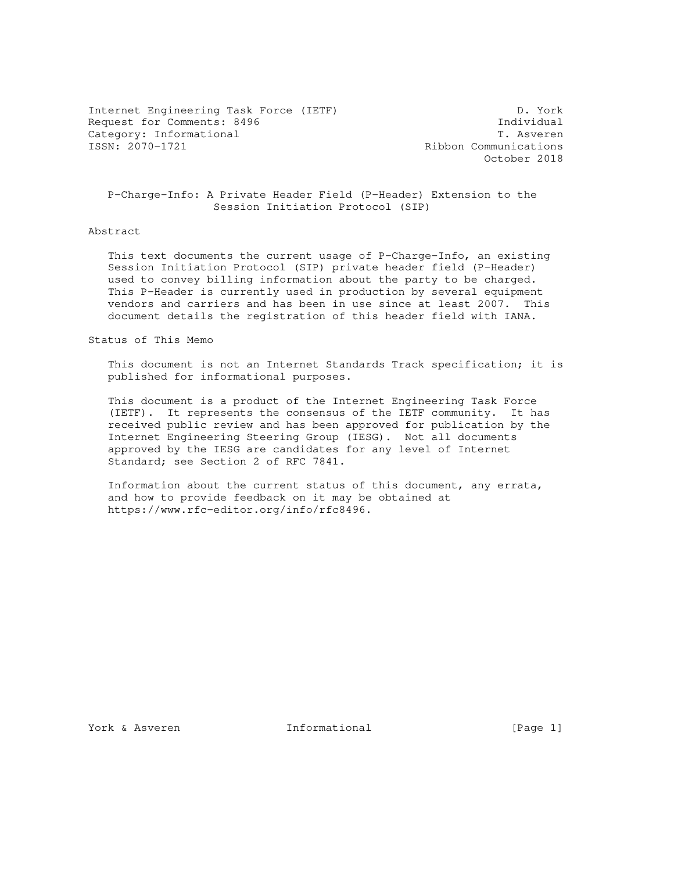Internet Engineering Task Force (IETF) D. York Request for Comments: 8496 Individual Category: Informational T. Asverence Category: Informational T. Asverence T. Asverence T. Asverence T. Asverence T. Asverence T. Asverence T. Asverence T. Asverence T. Asverence T. Asverence T. Asverence T. Asverence T. As

Ribbon Communications October 2018

 P-Charge-Info: A Private Header Field (P-Header) Extension to the Session Initiation Protocol (SIP)

## Abstract

 This text documents the current usage of P-Charge-Info, an existing Session Initiation Protocol (SIP) private header field (P-Header) used to convey billing information about the party to be charged. This P-Header is currently used in production by several equipment vendors and carriers and has been in use since at least 2007. This document details the registration of this header field with IANA.

### Status of This Memo

 This document is not an Internet Standards Track specification; it is published for informational purposes.

 This document is a product of the Internet Engineering Task Force (IETF). It represents the consensus of the IETF community. It has received public review and has been approved for publication by the Internet Engineering Steering Group (IESG). Not all documents approved by the IESG are candidates for any level of Internet Standard; see Section 2 of RFC 7841.

 Information about the current status of this document, any errata, and how to provide feedback on it may be obtained at https://www.rfc-editor.org/info/rfc8496.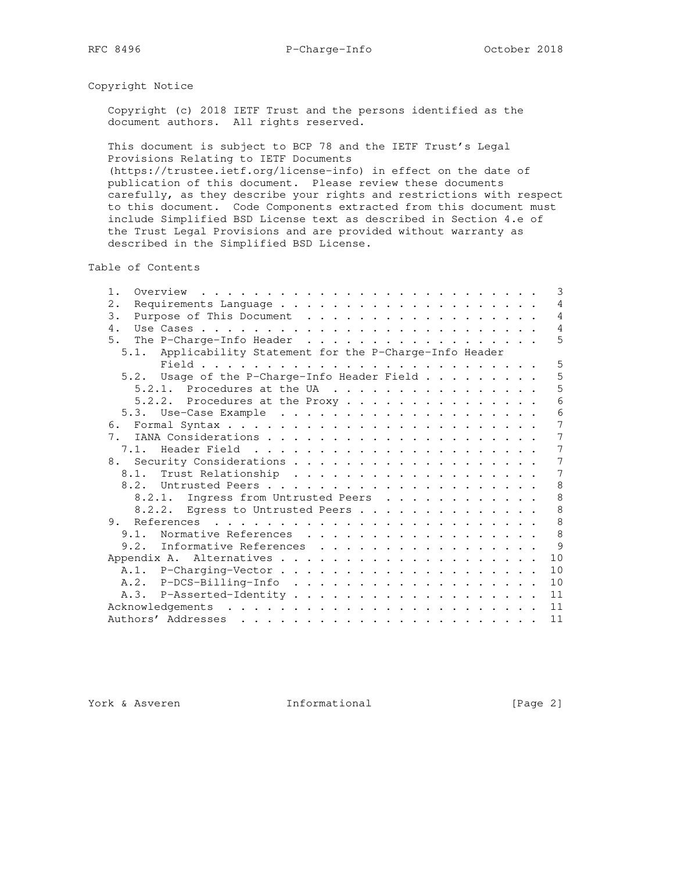## Copyright Notice

 Copyright (c) 2018 IETF Trust and the persons identified as the document authors. All rights reserved.

 This document is subject to BCP 78 and the IETF Trust's Legal Provisions Relating to IETF Documents (https://trustee.ietf.org/license-info) in effect on the date of publication of this document. Please review these documents carefully, as they describe your rights and restrictions with respect to this document. Code Components extracted from this document must include Simplified BSD License text as described in Section 4.e of the Trust Legal Provisions and are provided without warranty as described in the Simplified BSD License.

Table of Contents

| 1.                                                           |  |  |  | 3              |
|--------------------------------------------------------------|--|--|--|----------------|
| 2.                                                           |  |  |  | 4              |
| Purpose of This Document<br>3.                               |  |  |  | $\overline{4}$ |
| 4.                                                           |  |  |  | $\overline{4}$ |
| 5.<br>The P-Charge-Info Header                               |  |  |  | 5              |
| Applicability Statement for the P-Charge-Info Header<br>5.1. |  |  |  |                |
|                                                              |  |  |  | 5              |
| 5.2. Usage of the P-Charge-Info Header Field                 |  |  |  | 5              |
|                                                              |  |  |  | 5              |
| 5.2.2. Procedures at the Proxy                               |  |  |  | 6              |
|                                                              |  |  |  | 6              |
| 6.                                                           |  |  |  | 7              |
| 7 <sub>1</sub>                                               |  |  |  | 7              |
|                                                              |  |  |  | 7              |
|                                                              |  |  |  | 7              |
|                                                              |  |  |  | 7              |
| 8.2.                                                         |  |  |  | 8              |
| 8.2.1. Ingress from Untrusted Peers                          |  |  |  | 8              |
| 8.2.2. Egress to Untrusted Peers                             |  |  |  | 8              |
|                                                              |  |  |  | 8              |
| 9.1. Normative References                                    |  |  |  | 8              |
| 9.2. Informative References                                  |  |  |  | $\circ$        |
|                                                              |  |  |  | 10             |
|                                                              |  |  |  | 10             |
|                                                              |  |  |  | 10             |
|                                                              |  |  |  |                |
|                                                              |  |  |  | 11             |
|                                                              |  |  |  | 11             |
|                                                              |  |  |  | 11             |

York & Asveren 1nformational [Page 2]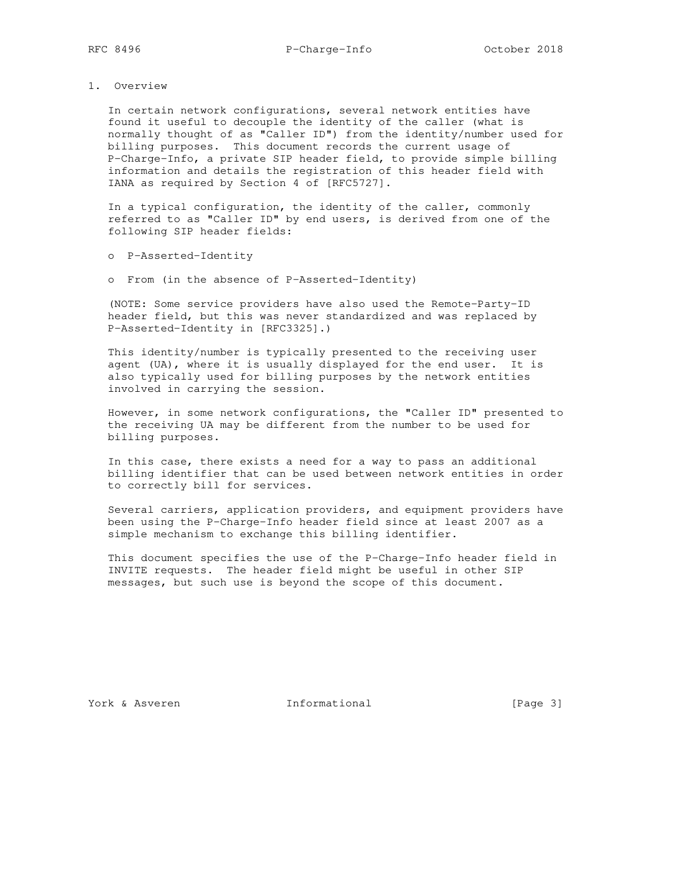1. Overview

 In certain network configurations, several network entities have found it useful to decouple the identity of the caller (what is normally thought of as "Caller ID") from the identity/number used for billing purposes. This document records the current usage of P-Charge-Info, a private SIP header field, to provide simple billing information and details the registration of this header field with IANA as required by Section 4 of [RFC5727].

 In a typical configuration, the identity of the caller, commonly referred to as "Caller ID" by end users, is derived from one of the following SIP header fields:

- o P-Asserted-Identity
- o From (in the absence of P-Asserted-Identity)

 (NOTE: Some service providers have also used the Remote-Party-ID header field, but this was never standardized and was replaced by P-Asserted-Identity in [RFC3325].)

 This identity/number is typically presented to the receiving user agent (UA), where it is usually displayed for the end user. It is also typically used for billing purposes by the network entities involved in carrying the session.

 However, in some network configurations, the "Caller ID" presented to the receiving UA may be different from the number to be used for billing purposes.

 In this case, there exists a need for a way to pass an additional billing identifier that can be used between network entities in order to correctly bill for services.

 Several carriers, application providers, and equipment providers have been using the P-Charge-Info header field since at least 2007 as a simple mechanism to exchange this billing identifier.

 This document specifies the use of the P-Charge-Info header field in INVITE requests. The header field might be useful in other SIP messages, but such use is beyond the scope of this document.

York & Asveren 1nformational [Page 3]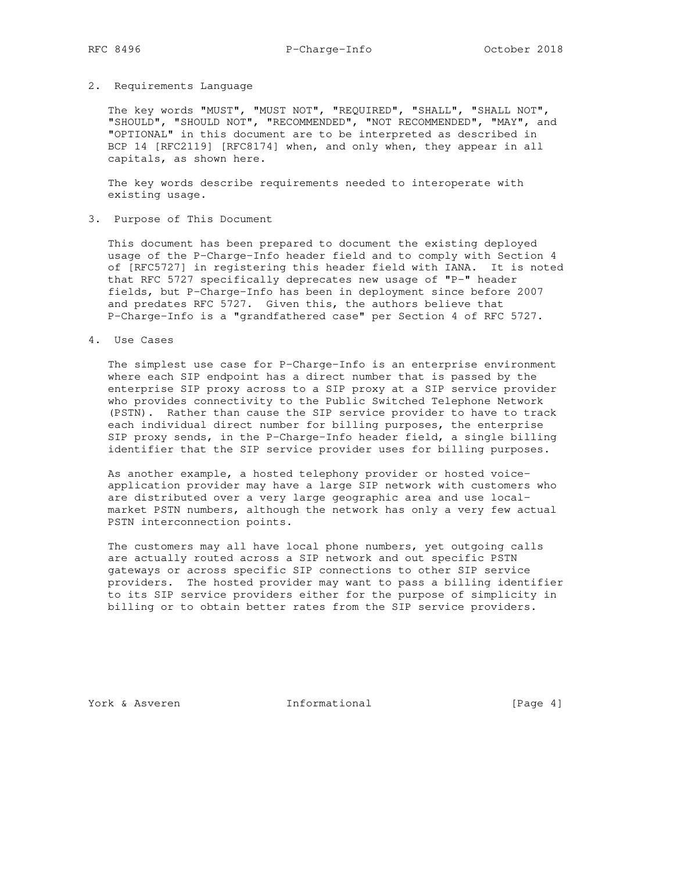# RFC 8496 P-Charge-Info October 2018

#### 2. Requirements Language

 The key words "MUST", "MUST NOT", "REQUIRED", "SHALL", "SHALL NOT", "SHOULD", "SHOULD NOT", "RECOMMENDED", "NOT RECOMMENDED", "MAY", and "OPTIONAL" in this document are to be interpreted as described in BCP 14 [RFC2119] [RFC8174] when, and only when, they appear in all capitals, as shown here.

 The key words describe requirements needed to interoperate with existing usage.

3. Purpose of This Document

 This document has been prepared to document the existing deployed usage of the P-Charge-Info header field and to comply with Section 4 of [RFC5727] in registering this header field with IANA. It is noted that RFC 5727 specifically deprecates new usage of "P-" header fields, but P-Charge-Info has been in deployment since before 2007 and predates RFC 5727. Given this, the authors believe that P-Charge-Info is a "grandfathered case" per Section 4 of RFC 5727.

4. Use Cases

 The simplest use case for P-Charge-Info is an enterprise environment where each SIP endpoint has a direct number that is passed by the enterprise SIP proxy across to a SIP proxy at a SIP service provider who provides connectivity to the Public Switched Telephone Network (PSTN). Rather than cause the SIP service provider to have to track each individual direct number for billing purposes, the enterprise SIP proxy sends, in the P-Charge-Info header field, a single billing identifier that the SIP service provider uses for billing purposes.

 As another example, a hosted telephony provider or hosted voice application provider may have a large SIP network with customers who are distributed over a very large geographic area and use local market PSTN numbers, although the network has only a very few actual PSTN interconnection points.

 The customers may all have local phone numbers, yet outgoing calls are actually routed across a SIP network and out specific PSTN gateways or across specific SIP connections to other SIP service providers. The hosted provider may want to pass a billing identifier to its SIP service providers either for the purpose of simplicity in billing or to obtain better rates from the SIP service providers.

York & Asveren 1nformational [Page 4]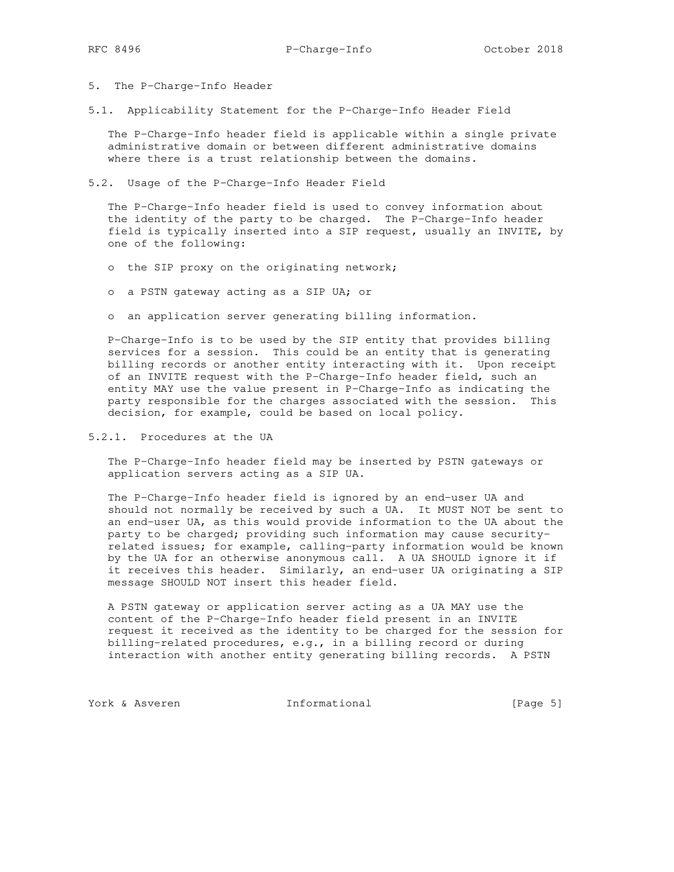- 5. The P-Charge-Info Header
- 5.1. Applicability Statement for the P-Charge-Info Header Field

 The P-Charge-Info header field is applicable within a single private administrative domain or between different administrative domains where there is a trust relationship between the domains.

5.2. Usage of the P-Charge-Info Header Field

 The P-Charge-Info header field is used to convey information about the identity of the party to be charged. The P-Charge-Info header field is typically inserted into a SIP request, usually an INVITE, by one of the following:

- o the SIP proxy on the originating network;
- o a PSTN gateway acting as a SIP UA; or
- o an application server generating billing information.

 P-Charge-Info is to be used by the SIP entity that provides billing services for a session. This could be an entity that is generating billing records or another entity interacting with it. Upon receipt of an INVITE request with the P-Charge-Info header field, such an entity MAY use the value present in P-Charge-Info as indicating the party responsible for the charges associated with the session. This decision, for example, could be based on local policy.

5.2.1. Procedures at the UA

 The P-Charge-Info header field may be inserted by PSTN gateways or application servers acting as a SIP UA.

 The P-Charge-Info header field is ignored by an end-user UA and should not normally be received by such a UA. It MUST NOT be sent to an end-user UA, as this would provide information to the UA about the party to be charged; providing such information may cause security related issues; for example, calling-party information would be known by the UA for an otherwise anonymous call. A UA SHOULD ignore it if it receives this header. Similarly, an end-user UA originating a SIP message SHOULD NOT insert this header field.

 A PSTN gateway or application server acting as a UA MAY use the content of the P-Charge-Info header field present in an INVITE request it received as the identity to be charged for the session for billing-related procedures, e.g., in a billing record or during interaction with another entity generating billing records. A PSTN

York & Asveren 1nformational [Page 5]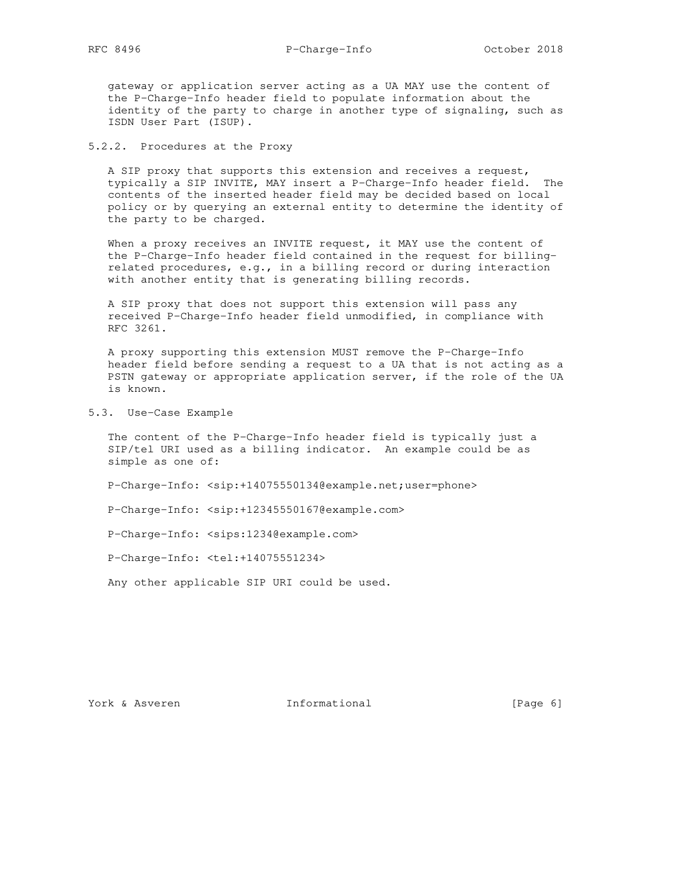gateway or application server acting as a UA MAY use the content of the P-Charge-Info header field to populate information about the identity of the party to charge in another type of signaling, such as ISDN User Part (ISUP).

5.2.2. Procedures at the Proxy

 A SIP proxy that supports this extension and receives a request, typically a SIP INVITE, MAY insert a P-Charge-Info header field. The contents of the inserted header field may be decided based on local policy or by querying an external entity to determine the identity of the party to be charged.

When a proxy receives an INVITE request, it MAY use the content of the P-Charge-Info header field contained in the request for billing related procedures, e.g., in a billing record or during interaction with another entity that is generating billing records.

 A SIP proxy that does not support this extension will pass any received P-Charge-Info header field unmodified, in compliance with RFC 3261.

 A proxy supporting this extension MUST remove the P-Charge-Info header field before sending a request to a UA that is not acting as a PSTN gateway or appropriate application server, if the role of the UA is known.

5.3. Use-Case Example

 The content of the P-Charge-Info header field is typically just a SIP/tel URI used as a billing indicator. An example could be as simple as one of:

P-Charge-Info: <sip:+14075550134@example.net;user=phone>

P-Charge-Info: <sip:+12345550167@example.com>

P-Charge-Info: <sips:1234@example.com>

P-Charge-Info: <tel:+14075551234>

Any other applicable SIP URI could be used.

York & Asveren 1nformational [Page 6]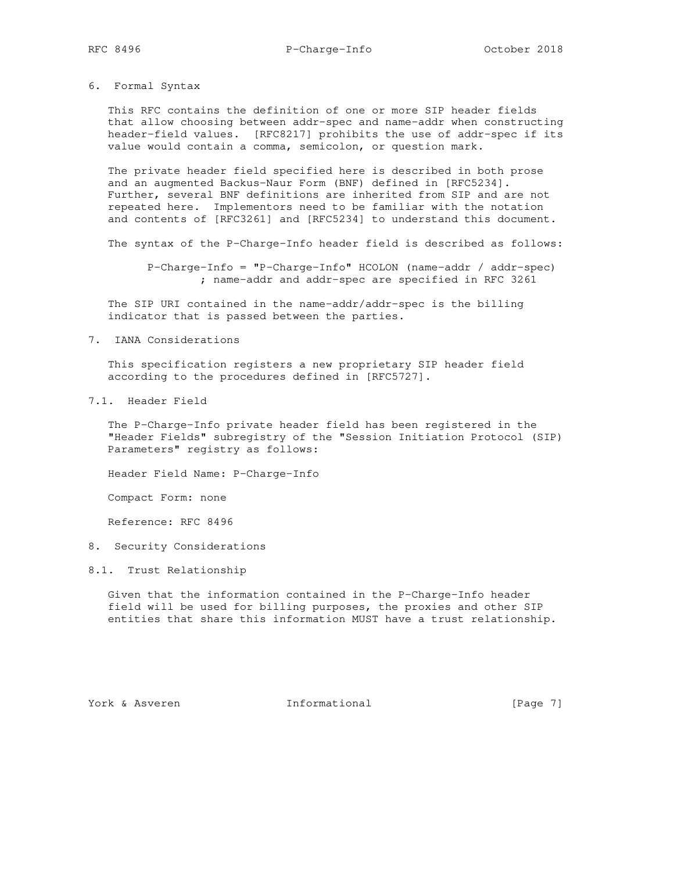6. Formal Syntax

 This RFC contains the definition of one or more SIP header fields that allow choosing between addr-spec and name-addr when constructing header-field values. [RFC8217] prohibits the use of addr-spec if its value would contain a comma, semicolon, or question mark.

 The private header field specified here is described in both prose and an augmented Backus-Naur Form (BNF) defined in [RFC5234]. Further, several BNF definitions are inherited from SIP and are not repeated here. Implementors need to be familiar with the notation and contents of [RFC3261] and [RFC5234] to understand this document.

The syntax of the P-Charge-Info header field is described as follows:

 P-Charge-Info = "P-Charge-Info" HCOLON (name-addr / addr-spec) ; name-addr and addr-spec are specified in RFC 3261

 The SIP URI contained in the name-addr/addr-spec is the billing indicator that is passed between the parties.

7. IANA Considerations

 This specification registers a new proprietary SIP header field according to the procedures defined in [RFC5727].

7.1. Header Field

 The P-Charge-Info private header field has been registered in the "Header Fields" subregistry of the "Session Initiation Protocol (SIP) Parameters" registry as follows:

Header Field Name: P-Charge-Info

Compact Form: none

Reference: RFC 8496

- 8. Security Considerations
- 8.1. Trust Relationship

 Given that the information contained in the P-Charge-Info header field will be used for billing purposes, the proxies and other SIP entities that share this information MUST have a trust relationship.

York & Asveren Thformational [Page 7]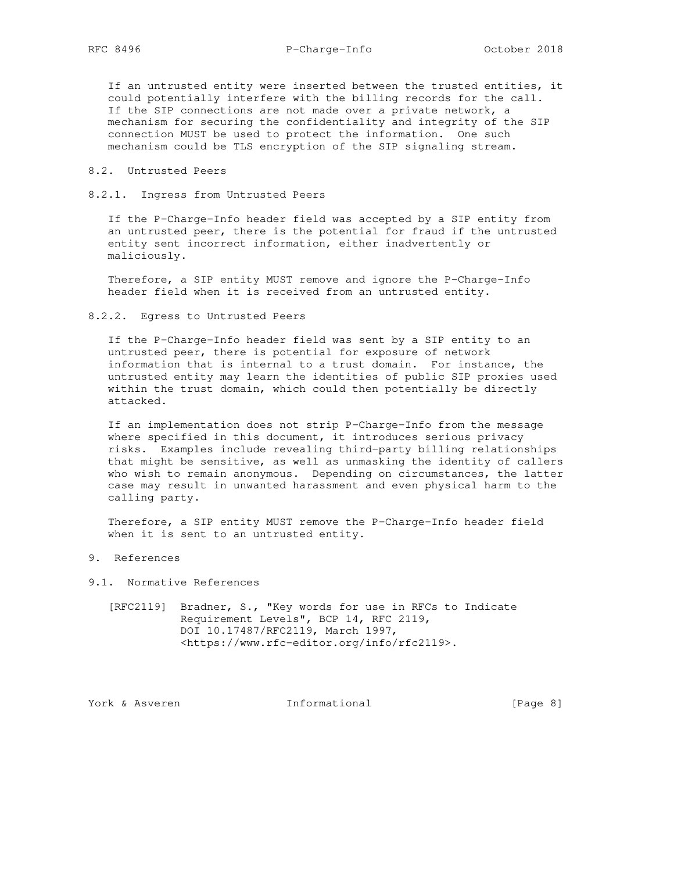# RFC 8496 P-Charge-Info October 2018

 If an untrusted entity were inserted between the trusted entities, it could potentially interfere with the billing records for the call. If the SIP connections are not made over a private network, a mechanism for securing the confidentiality and integrity of the SIP connection MUST be used to protect the information. One such mechanism could be TLS encryption of the SIP signaling stream.

## 8.2. Untrusted Peers

8.2.1. Ingress from Untrusted Peers

 If the P-Charge-Info header field was accepted by a SIP entity from an untrusted peer, there is the potential for fraud if the untrusted entity sent incorrect information, either inadvertently or maliciously.

 Therefore, a SIP entity MUST remove and ignore the P-Charge-Info header field when it is received from an untrusted entity.

8.2.2. Egress to Untrusted Peers

 If the P-Charge-Info header field was sent by a SIP entity to an untrusted peer, there is potential for exposure of network information that is internal to a trust domain. For instance, the untrusted entity may learn the identities of public SIP proxies used within the trust domain, which could then potentially be directly attacked.

 If an implementation does not strip P-Charge-Info from the message where specified in this document, it introduces serious privacy risks. Examples include revealing third-party billing relationships that might be sensitive, as well as unmasking the identity of callers who wish to remain anonymous. Depending on circumstances, the latter case may result in unwanted harassment and even physical harm to the calling party.

 Therefore, a SIP entity MUST remove the P-Charge-Info header field when it is sent to an untrusted entity.

9. References

- 9.1. Normative References
	- [RFC2119] Bradner, S., "Key words for use in RFCs to Indicate Requirement Levels", BCP 14, RFC 2119, DOI 10.17487/RFC2119, March 1997, <https://www.rfc-editor.org/info/rfc2119>.

York & Asveren 1nformational [Page 8]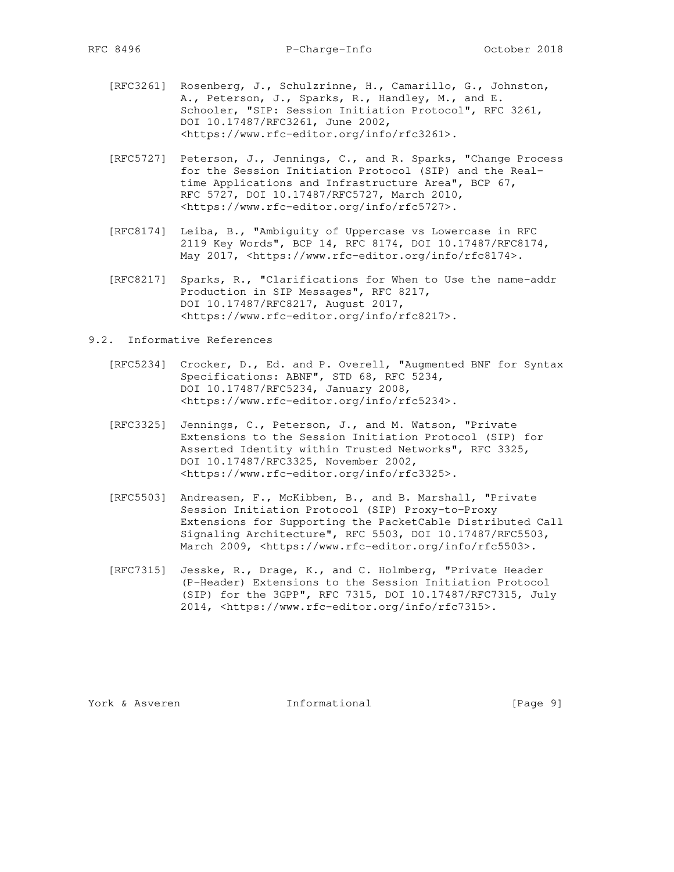- [RFC3261] Rosenberg, J., Schulzrinne, H., Camarillo, G., Johnston, A., Peterson, J., Sparks, R., Handley, M., and E. Schooler, "SIP: Session Initiation Protocol", RFC 3261, DOI 10.17487/RFC3261, June 2002, <https://www.rfc-editor.org/info/rfc3261>.
- [RFC5727] Peterson, J., Jennings, C., and R. Sparks, "Change Process for the Session Initiation Protocol (SIP) and the Real time Applications and Infrastructure Area", BCP 67, RFC 5727, DOI 10.17487/RFC5727, March 2010, <https://www.rfc-editor.org/info/rfc5727>.
- [RFC8174] Leiba, B., "Ambiguity of Uppercase vs Lowercase in RFC 2119 Key Words", BCP 14, RFC 8174, DOI 10.17487/RFC8174, May 2017, <https://www.rfc-editor.org/info/rfc8174>.
- [RFC8217] Sparks, R., "Clarifications for When to Use the name-addr Production in SIP Messages", RFC 8217, DOI 10.17487/RFC8217, August 2017, <https://www.rfc-editor.org/info/rfc8217>.
- 9.2. Informative References
- [RFC5234] Crocker, D., Ed. and P. Overell, "Augmented BNF for Syntax Specifications: ABNF", STD 68, RFC 5234, DOI 10.17487/RFC5234, January 2008, <https://www.rfc-editor.org/info/rfc5234>.
	- [RFC3325] Jennings, C., Peterson, J., and M. Watson, "Private Extensions to the Session Initiation Protocol (SIP) for Asserted Identity within Trusted Networks", RFC 3325, DOI 10.17487/RFC3325, November 2002, <https://www.rfc-editor.org/info/rfc3325>.
	- [RFC5503] Andreasen, F., McKibben, B., and B. Marshall, "Private Session Initiation Protocol (SIP) Proxy-to-Proxy Extensions for Supporting the PacketCable Distributed Call Signaling Architecture", RFC 5503, DOI 10.17487/RFC5503, March 2009, <https://www.rfc-editor.org/info/rfc5503>.
	- [RFC7315] Jesske, R., Drage, K., and C. Holmberg, "Private Header (P-Header) Extensions to the Session Initiation Protocol (SIP) for the 3GPP", RFC 7315, DOI 10.17487/RFC7315, July 2014, <https://www.rfc-editor.org/info/rfc7315>.

York & Asveren Thformational [Page 9]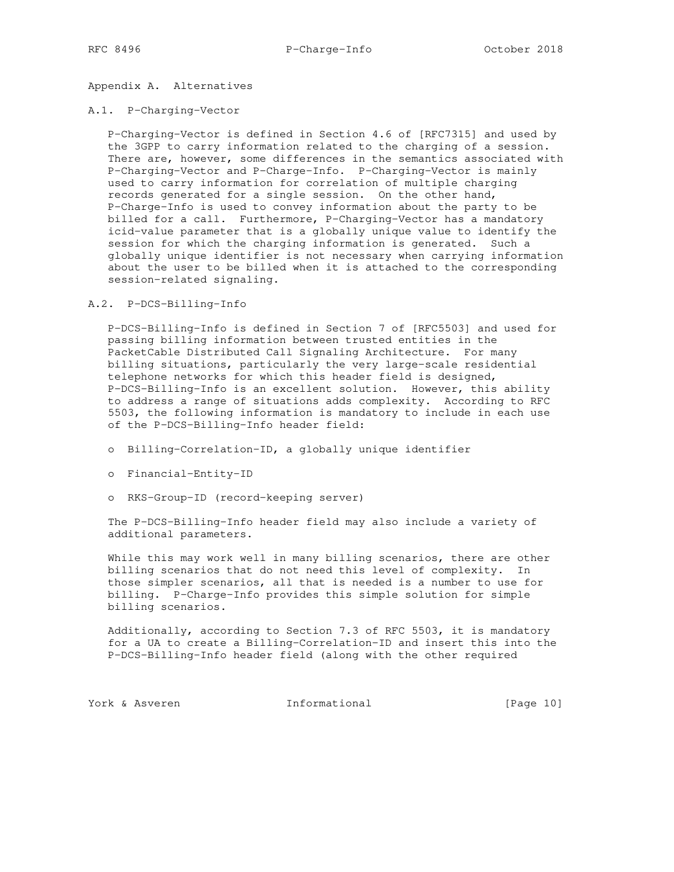Appendix A. Alternatives

### A.1. P-Charging-Vector

 P-Charging-Vector is defined in Section 4.6 of [RFC7315] and used by the 3GPP to carry information related to the charging of a session. There are, however, some differences in the semantics associated with P-Charging-Vector and P-Charge-Info. P-Charging-Vector is mainly used to carry information for correlation of multiple charging records generated for a single session. On the other hand, P-Charge-Info is used to convey information about the party to be billed for a call. Furthermore, P-Charging-Vector has a mandatory icid-value parameter that is a globally unique value to identify the session for which the charging information is generated. Such a globally unique identifier is not necessary when carrying information about the user to be billed when it is attached to the corresponding session-related signaling.

## A.2. P-DCS-Billing-Info

 P-DCS-Billing-Info is defined in Section 7 of [RFC5503] and used for passing billing information between trusted entities in the PacketCable Distributed Call Signaling Architecture. For many billing situations, particularly the very large-scale residential telephone networks for which this header field is designed, P-DCS-Billing-Info is an excellent solution. However, this ability to address a range of situations adds complexity. According to RFC 5503, the following information is mandatory to include in each use of the P-DCS-Billing-Info header field:

- o Billing-Correlation-ID, a globally unique identifier
- o Financial-Entity-ID
- o RKS-Group-ID (record-keeping server)

 The P-DCS-Billing-Info header field may also include a variety of additional parameters.

 While this may work well in many billing scenarios, there are other billing scenarios that do not need this level of complexity. In those simpler scenarios, all that is needed is a number to use for billing. P-Charge-Info provides this simple solution for simple billing scenarios.

 Additionally, according to Section 7.3 of RFC 5503, it is mandatory for a UA to create a Billing-Correlation-ID and insert this into the P-DCS-Billing-Info header field (along with the other required

York & Asveren Tnformational [Page 10]